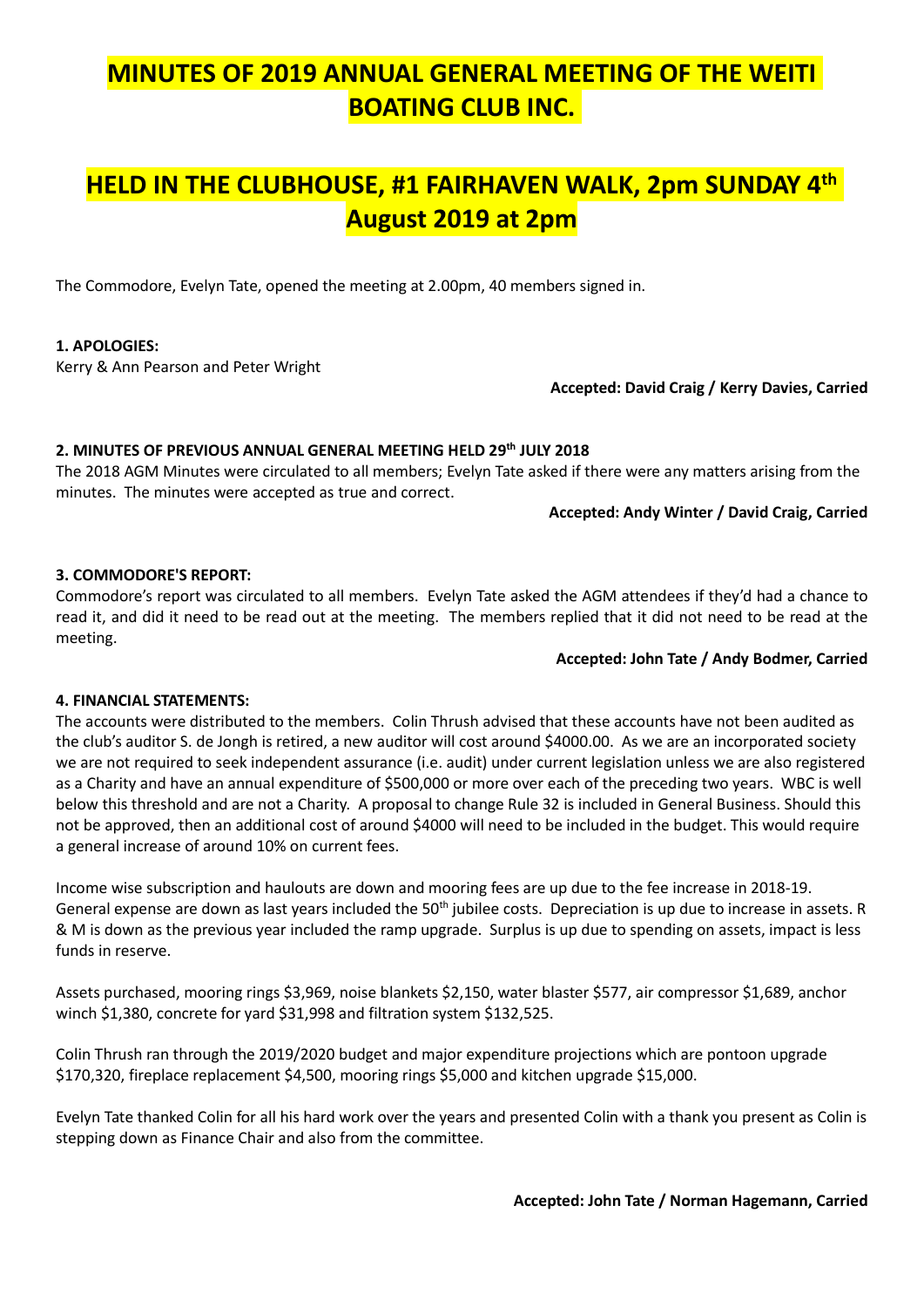# MINUTES OF 2019 ANNUAL GENERAL MEETING OF THE WEITI BOATING CLUB INC.

## HELD IN THE CLUBHOUSE, #1 FAIRHAVEN WALK, 2pm SUNDAY 4th August 2019 at 2pm

The Commodore, Evelyn Tate, opened the meeting at 2.00pm, 40 members signed in.

### 1. APOLOGIES:

Kerry & Ann Pearson and Peter Wright

#### Accepted: David Craig / Kerry Davies, Carried

#### 2. MINUTES OF PREVIOUS ANNUAL GENERAL MEETING HELD 29th JULY 2018

The 2018 AGM Minutes were circulated to all members; Evelyn Tate asked if there were any matters arising from the minutes. The minutes were accepted as true and correct.

#### Accepted: Andy Winter / David Craig, Carried

#### 3. COMMODORE'S REPORT:

Commodore's report was circulated to all members. Evelyn Tate asked the AGM attendees if they'd had a chance to read it, and did it need to be read out at the meeting. The members replied that it did not need to be read at the meeting.

#### Accepted: John Tate / Andy Bodmer, Carried

#### 4. FINANCIAL STATEMENTS:

The accounts were distributed to the members. Colin Thrush advised that these accounts have not been audited as the club's auditor S. de Jongh is retired, a new auditor will cost around \$4000.00. As we are an incorporated society we are not required to seek independent assurance (i.e. audit) under current legislation unless we are also registered as a Charity and have an annual expenditure of \$500,000 or more over each of the preceding two years. WBC is well below this threshold and are not a Charity. A proposal to change Rule 32 is included in General Business. Should this not be approved, then an additional cost of around \$4000 will need to be included in the budget. This would require a general increase of around 10% on current fees.

Income wise subscription and haulouts are down and mooring fees are up due to the fee increase in 2018-19. General expense are down as last years included the 50<sup>th</sup> jubilee costs. Depreciation is up due to increase in assets. R & M is down as the previous year included the ramp upgrade. Surplus is up due to spending on assets, impact is less funds in reserve.

Assets purchased, mooring rings \$3,969, noise blankets \$2,150, water blaster \$577, air compressor \$1,689, anchor winch \$1,380, concrete for yard \$31,998 and filtration system \$132,525.

Colin Thrush ran through the 2019/2020 budget and major expenditure projections which are pontoon upgrade \$170,320, fireplace replacement \$4,500, mooring rings \$5,000 and kitchen upgrade \$15,000.

Evelyn Tate thanked Colin for all his hard work over the years and presented Colin with a thank you present as Colin is stepping down as Finance Chair and also from the committee.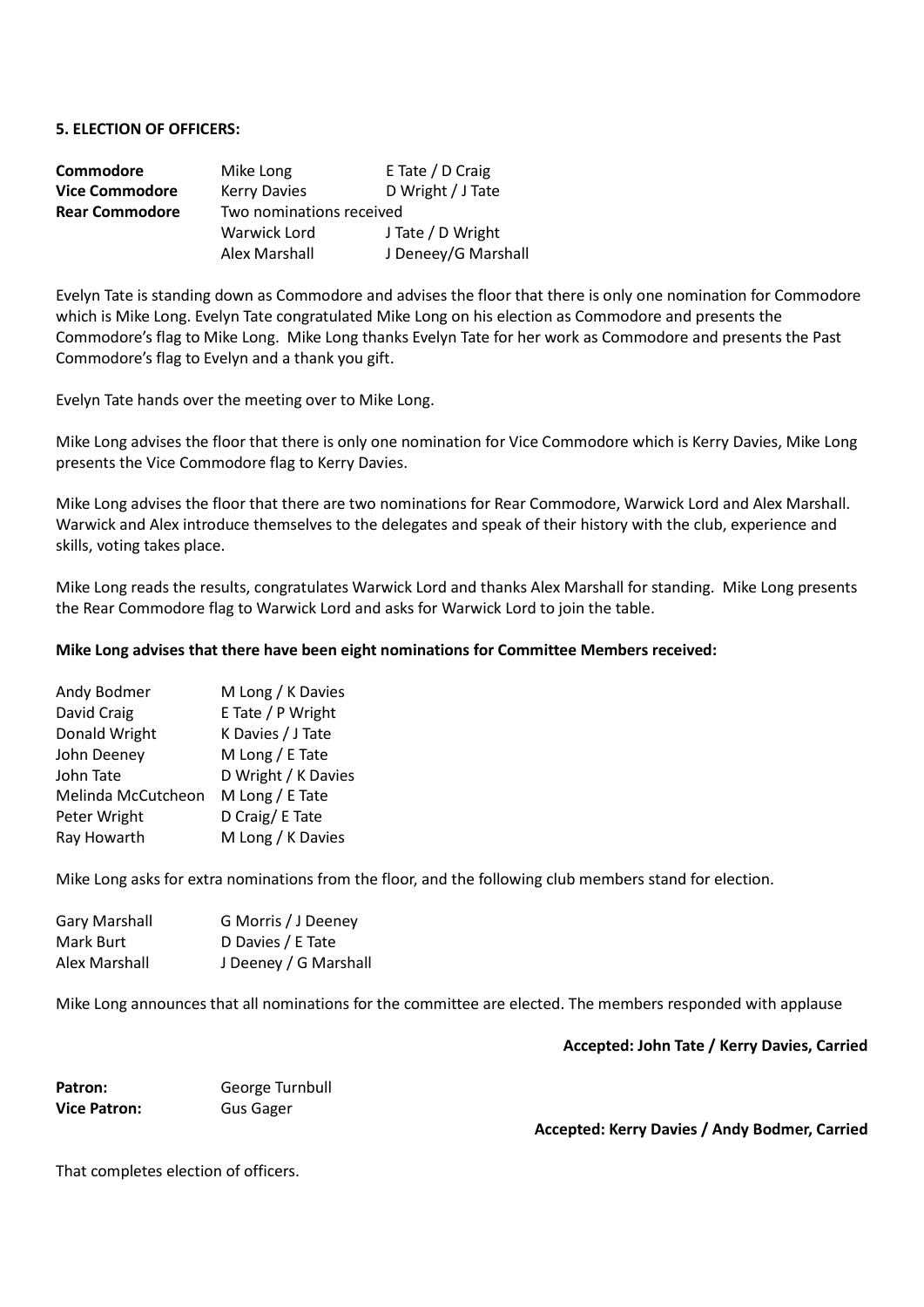#### 5. ELECTION OF OFFICERS:

| Commodore             | Mike Long                | E Tate / D Craig    |  |  |  |
|-----------------------|--------------------------|---------------------|--|--|--|
| <b>Vice Commodore</b> | <b>Kerry Davies</b>      | D Wright / J Tate   |  |  |  |
| <b>Rear Commodore</b> | Two nominations received |                     |  |  |  |
|                       | Warwick Lord             | J Tate / D Wright   |  |  |  |
|                       | Alex Marshall            | J Deneey/G Marshall |  |  |  |

Evelyn Tate is standing down as Commodore and advises the floor that there is only one nomination for Commodore which is Mike Long. Evelyn Tate congratulated Mike Long on his election as Commodore and presents the Commodore's flag to Mike Long. Mike Long thanks Evelyn Tate for her work as Commodore and presents the Past Commodore's flag to Evelyn and a thank you gift.

Evelyn Tate hands over the meeting over to Mike Long.

Mike Long advises the floor that there is only one nomination for Vice Commodore which is Kerry Davies, Mike Long presents the Vice Commodore flag to Kerry Davies.

Mike Long advises the floor that there are two nominations for Rear Commodore, Warwick Lord and Alex Marshall. Warwick and Alex introduce themselves to the delegates and speak of their history with the club, experience and skills, voting takes place.

Mike Long reads the results, congratulates Warwick Lord and thanks Alex Marshall for standing. Mike Long presents the Rear Commodore flag to Warwick Lord and asks for Warwick Lord to join the table.

#### Mike Long advises that there have been eight nominations for Committee Members received:

| Andy Bodmer        | M Long / K Davies   |
|--------------------|---------------------|
| David Craig        | E Tate / P Wright   |
| Donald Wright      | K Davies / J Tate   |
| John Deeney        | M Long / E Tate     |
| John Tate          | D Wright / K Davies |
| Melinda McCutcheon | M Long / E Tate     |
| Peter Wright       | D Craig/ E Tate     |
| Ray Howarth        | M Long / K Davies   |
|                    |                     |

Mike Long asks for extra nominations from the floor, and the following club members stand for election.

| Gary Marshall | G Morris / J Deeney   |
|---------------|-----------------------|
| Mark Burt     | D Davies / E Tate     |
| Alex Marshall | J Deeney / G Marshall |

Mike Long announces that all nominations for the committee are elected. The members responded with applause

Accepted: John Tate / Kerry Davies, Carried

| Patron:             | George Turnbull |
|---------------------|-----------------|
| <b>Vice Patron:</b> | Gus Gager       |

Accepted: Kerry Davies / Andy Bodmer, Carried

That completes election of officers.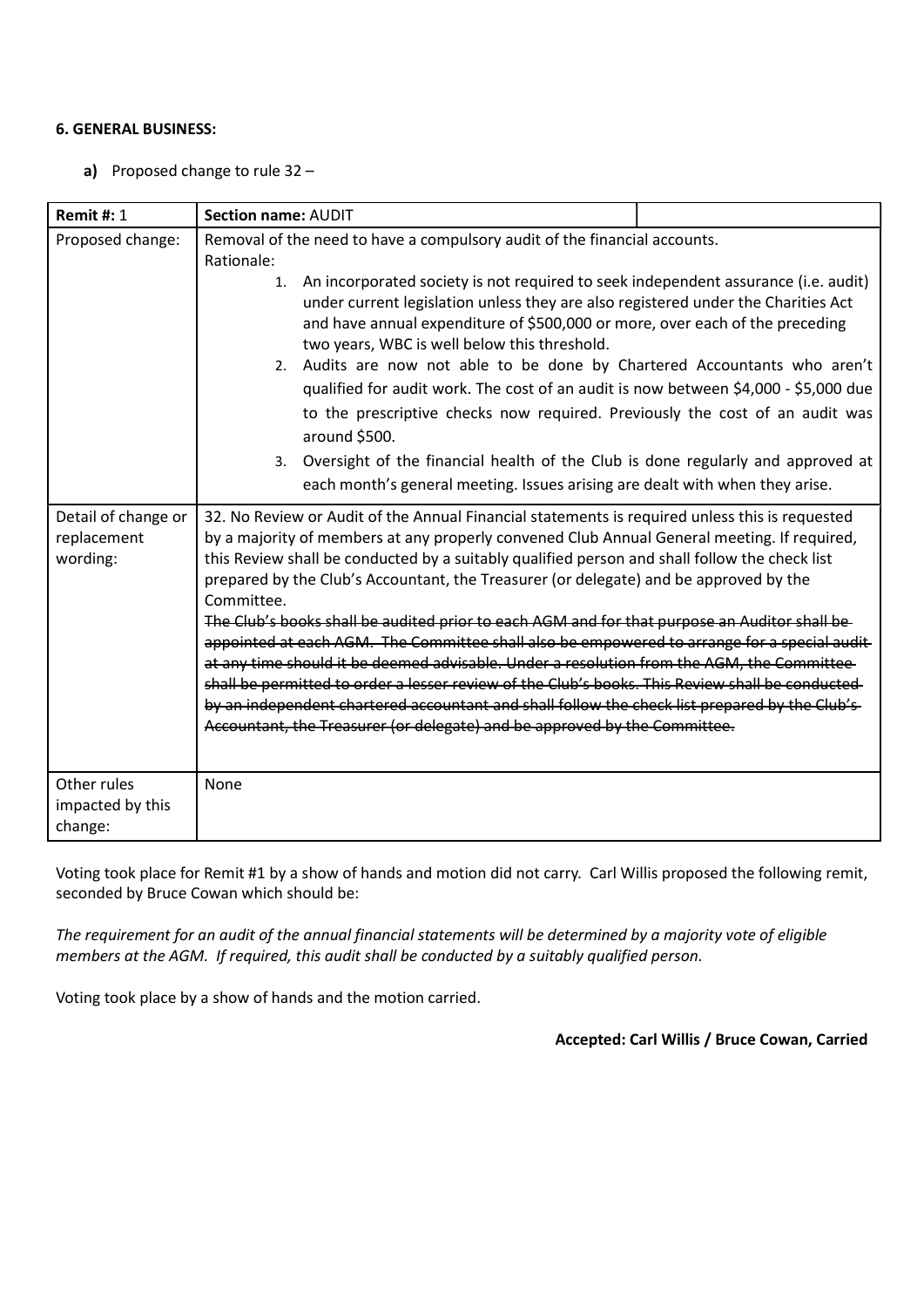## 6. GENERAL BUSINESS:

a) Proposed change to rule 32 –

| <b>Remit #: 1</b>                                                  | Section name: AUDIT                                                                                                                                                                                                                                                                                                                                                                                                                                                                                                                                                                                                                                                                                                                                                                                                                                                                                                                                                                                                                                                                                                                                                                                                                                          |  |  |  |  |
|--------------------------------------------------------------------|--------------------------------------------------------------------------------------------------------------------------------------------------------------------------------------------------------------------------------------------------------------------------------------------------------------------------------------------------------------------------------------------------------------------------------------------------------------------------------------------------------------------------------------------------------------------------------------------------------------------------------------------------------------------------------------------------------------------------------------------------------------------------------------------------------------------------------------------------------------------------------------------------------------------------------------------------------------------------------------------------------------------------------------------------------------------------------------------------------------------------------------------------------------------------------------------------------------------------------------------------------------|--|--|--|--|
| Proposed change:<br>Detail of change or<br>replacement<br>wording: | Removal of the need to have a compulsory audit of the financial accounts.<br>Rationale:<br>An incorporated society is not required to seek independent assurance (i.e. audit)<br>1.<br>under current legislation unless they are also registered under the Charities Act<br>and have annual expenditure of \$500,000 or more, over each of the preceding<br>two years, WBC is well below this threshold.<br>2. Audits are now not able to be done by Chartered Accountants who aren't<br>qualified for audit work. The cost of an audit is now between \$4,000 - \$5,000 due<br>to the prescriptive checks now required. Previously the cost of an audit was<br>around \$500.<br>3. Oversight of the financial health of the Club is done regularly and approved at<br>each month's general meeting. Issues arising are dealt with when they arise.<br>32. No Review or Audit of the Annual Financial statements is required unless this is requested<br>by a majority of members at any properly convened Club Annual General meeting. If required,<br>this Review shall be conducted by a suitably qualified person and shall follow the check list<br>prepared by the Club's Accountant, the Treasurer (or delegate) and be approved by the<br>Committee. |  |  |  |  |
| Other rules<br>impacted by this                                    | The Club's books shall be audited prior to each AGM and for that purpose an Auditor shall be-<br>appointed at each AGM. The Committee shall also be empowered to arrange for a special audit-<br>at any time should it be deemed advisable. Under a resolution from the AGM, the Committee-<br>shall be permitted to order a lesser review of the Club's books. This Review shall be conducted-<br>by an independent chartered accountant and shall follow the check list prepared by the Club's-<br>Accountant, the Treasurer (or delegate) and be approved by the Committee.<br>None                                                                                                                                                                                                                                                                                                                                                                                                                                                                                                                                                                                                                                                                       |  |  |  |  |
| change:                                                            |                                                                                                                                                                                                                                                                                                                                                                                                                                                                                                                                                                                                                                                                                                                                                                                                                                                                                                                                                                                                                                                                                                                                                                                                                                                              |  |  |  |  |

Voting took place for Remit #1 by a show of hands and motion did not carry. Carl Willis proposed the following remit, seconded by Bruce Cowan which should be:

The requirement for an audit of the annual financial statements will be determined by a majority vote of eligible members at the AGM. If required, this audit shall be conducted by a suitably qualified person.

Voting took place by a show of hands and the motion carried.

Accepted: Carl Willis / Bruce Cowan, Carried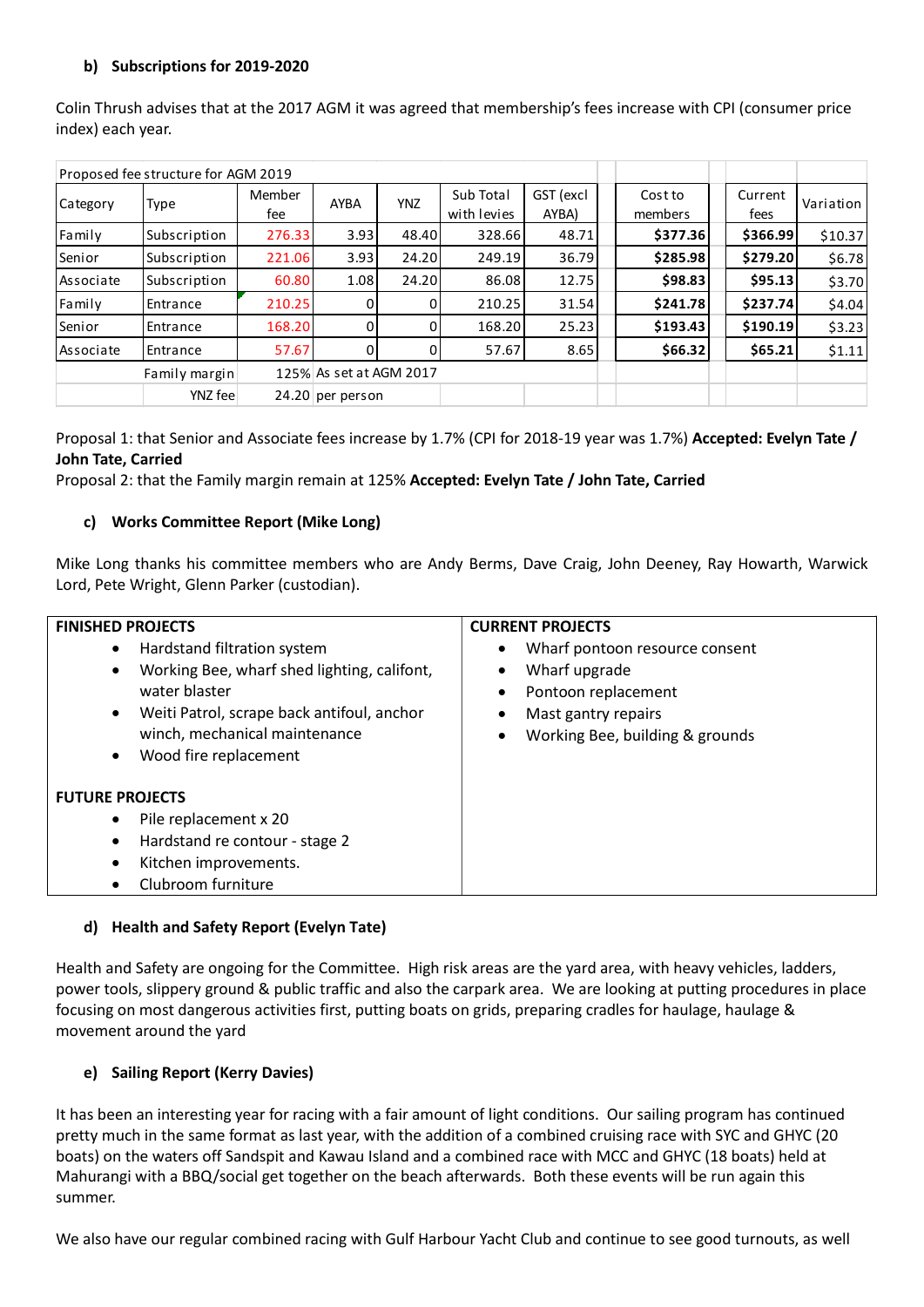## b) Subscriptions for 2019-2020

| b)                | Subscriptions for 2019-2020         |        |                         |            |             |           |                                                                                                                  |          |                                      |
|-------------------|-------------------------------------|--------|-------------------------|------------|-------------|-----------|------------------------------------------------------------------------------------------------------------------|----------|--------------------------------------|
|                   |                                     |        |                         |            |             |           |                                                                                                                  |          |                                      |
|                   |                                     |        |                         |            |             |           | Colin Thrush advises that at the 2017 AGM it was agreed that membership's fees increase with CPI (consumer price |          |                                      |
| index) each year. |                                     |        |                         |            |             |           |                                                                                                                  |          |                                      |
|                   |                                     |        |                         |            |             |           |                                                                                                                  |          |                                      |
|                   | Proposed fee structure for AGM 2019 |        |                         |            |             |           |                                                                                                                  |          |                                      |
|                   |                                     |        |                         |            | Sub Total   | GST (excl | Cost to                                                                                                          | Current  | Variation                            |
|                   | <b>Type</b>                         | Member | AYBA                    | <b>YNZ</b> |             |           |                                                                                                                  |          |                                      |
| Category          |                                     | fee    |                         |            | with levies | AYBA)     | members                                                                                                          | fees     |                                      |
| Family            | Subscription                        | 276.33 | 3.93                    | 48.40      | 328.66      | 48.71     | \$377.36                                                                                                         | \$366.99 | \$10.37                              |
| Senior            | Subscription                        | 221.06 | 3.93                    | 24.20      | 249.19      | 36.79     | \$285.98                                                                                                         | \$279.20 |                                      |
| Associate         | Subscription                        | 60.80  | 1.08                    | 24.20      | 86.08       | 12.75     | \$98.83                                                                                                          | \$95.13  |                                      |
| Family            | Entrance                            | 210.25 | 0                       | 0          | 210.25      | 31.54     | \$241.78                                                                                                         | \$237.74 |                                      |
| Senior            | Entrance                            | 168.20 | $\pmb{0}$               | 0          | 168.20      | 25.23     | \$193.43                                                                                                         | \$190.19 | \$6.78<br>\$3.70<br>\$4.04<br>\$3.23 |
| Associate         | Entrance                            | 57.67  | $\mathbf 0$             | $\Omega$   | 57.67       | 8.65      | \$66.32                                                                                                          | \$65.21  |                                      |
|                   | Family margin                       |        | 125% As set at AGM 2017 |            |             |           |                                                                                                                  |          |                                      |
|                   | YNZ fee                             |        | 24.20 per person        |            |             |           |                                                                                                                  |          | \$1.11                               |

## c) Works Committee Report (Mike Long)

Mike Long thanks his committee members who are Andy Berms, Dave Craig, John Deeney, Ray Howarth, Warwick Lord, Pete Wright, Glenn Parker (custodian).

| <b>FINISHED PROJECTS</b>                                                                                                                                                                                                                   | <b>CURRENT PROJECTS</b>                                                                                                                       |
|--------------------------------------------------------------------------------------------------------------------------------------------------------------------------------------------------------------------------------------------|-----------------------------------------------------------------------------------------------------------------------------------------------|
| Hardstand filtration system<br>$\bullet$<br>Working Bee, wharf shed lighting, califont,<br>water blaster<br>Weiti Patrol, scrape back antifoul, anchor<br>$\bullet$<br>winch, mechanical maintenance<br>Wood fire replacement<br>$\bullet$ | Wharf pontoon resource consent<br>$\bullet$<br>Wharf upgrade<br>Pontoon replacement<br>Mast gantry repairs<br>Working Bee, building & grounds |
| <b>FUTURE PROJECTS</b><br>Pile replacement x 20<br>$\bullet$<br>Hardstand re contour - stage 2<br>$\bullet$<br>Kitchen improvements.<br>$\bullet$<br>Clubroom furniture                                                                    |                                                                                                                                               |

## d) Health and Safety Report (Evelyn Tate)

Health and Safety are ongoing for the Committee. High risk areas are the yard area, with heavy vehicles, ladders, power tools, slippery ground & public traffic and also the carpark area. We are looking at putting procedures in place focusing on most dangerous activities first, putting boats on grids, preparing cradles for haulage, haulage & movement around the yard

## e) Sailing Report (Kerry Davies)

It has been an interesting year for racing with a fair amount of light conditions. Our sailing program has continued pretty much in the same format as last year, with the addition of a combined cruising race with SYC and GHYC (20 boats) on the waters off Sandspit and Kawau Island and a combined race with MCC and GHYC (18 boats) held at Mahurangi with a BBQ/social get together on the beach afterwards. Both these events will be run again this summer.

We also have our regular combined racing with Gulf Harbour Yacht Club and continue to see good turnouts, as well